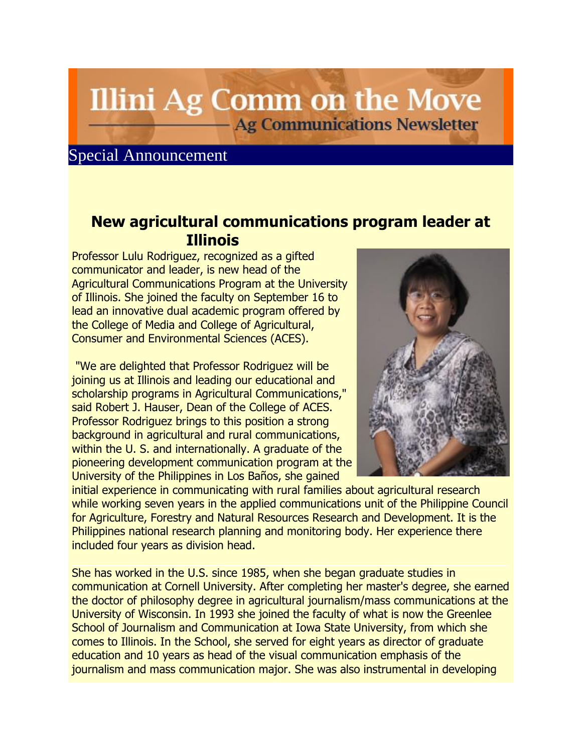## **Illini Ag Comm on the Move Ag Communications Newsletter**

## Special Announcement

## **New agricultural communications program leader at Illinois**

Professor Lulu Rodriguez, recognized as a gifted communicator and leader, is new head of the Agricultural Communications Program at the University of Illinois. She joined the faculty on September 16 to lead an innovative dual academic program offered by the College of Media and College of Agricultural, Consumer and Environmental Sciences (ACES).

"We are delighted that Professor Rodriguez will be joining us at Illinois and leading our educational and scholarship programs in Agricultural Communications," said Robert J. Hauser, Dean of the College of ACES. Professor Rodriguez brings to this position a strong background in agricultural and rural communications, within the U. S. and internationally. A graduate of the pioneering development communication program at the University of the Philippines in Los Baños, she gained



initial experience in communicating with rural families about agricultural research while working seven years in the applied communications unit of the Philippine Council for Agriculture, Forestry and Natural Resources Research and Development. It is the Philippines national research planning and monitoring body. Her experience there included four years as division head.

She has worked in the U.S. since 1985, when she began graduate studies in communication at Cornell University. After completing her master's degree, she earned the doctor of philosophy degree in agricultural journalism/mass communications at the University of Wisconsin. In 1993 she joined the faculty of what is now the Greenlee School of Journalism and Communication at Iowa State University, from which she comes to Illinois. In the School, she served for eight years as director of graduate education and 10 years as head of the visual communication emphasis of the journalism and mass communication major. She was also instrumental in developing